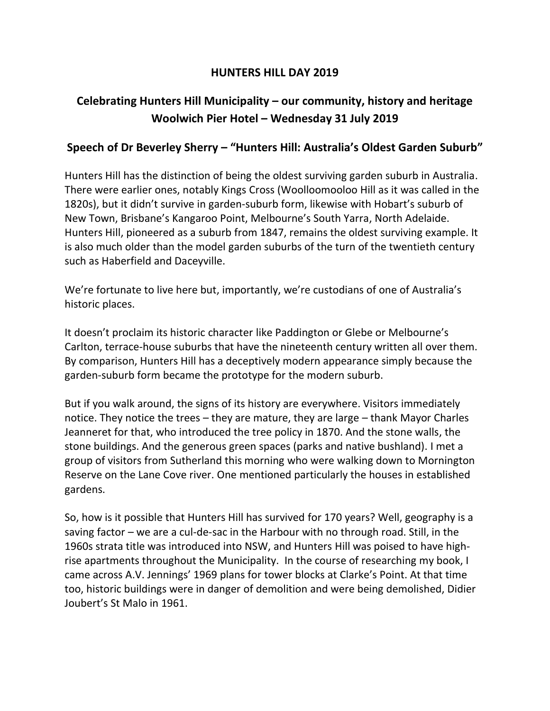## **HUNTERS HILL DAY 2019**

## **Celebrating Hunters Hill Municipality – our community, history and heritage Woolwich Pier Hotel – Wednesday 31 July 2019**

## **Speech of Dr Beverley Sherry – "Hunters Hill: Australia's Oldest Garden Suburb"**

Hunters Hill has the distinction of being the oldest surviving garden suburb in Australia. There were earlier ones, notably Kings Cross (Woolloomooloo Hill as it was called in the 1820s), but it didn't survive in garden-suburb form, likewise with Hobart's suburb of New Town, Brisbane's Kangaroo Point, Melbourne's South Yarra, North Adelaide. Hunters Hill, pioneered as a suburb from 1847, remains the oldest surviving example. It is also much older than the model garden suburbs of the turn of the twentieth century such as Haberfield and Daceyville.

We're fortunate to live here but, importantly, we're custodians of one of Australia's historic places.

It doesn't proclaim its historic character like Paddington or Glebe or Melbourne's Carlton, terrace-house suburbs that have the nineteenth century written all over them. By comparison, Hunters Hill has a deceptively modern appearance simply because the garden-suburb form became the prototype for the modern suburb.

But if you walk around, the signs of its history are everywhere. Visitors immediately notice. They notice the trees – they are mature, they are large – thank Mayor Charles Jeanneret for that, who introduced the tree policy in 1870. And the stone walls, the stone buildings. And the generous green spaces (parks and native bushland). I met a group of visitors from Sutherland this morning who were walking down to Mornington Reserve on the Lane Cove river. One mentioned particularly the houses in established gardens.

So, how is it possible that Hunters Hill has survived for 170 years? Well, geography is a saving factor – we are a cul-de-sac in the Harbour with no through road. Still, in the 1960s strata title was introduced into NSW, and Hunters Hill was poised to have highrise apartments throughout the Municipality. In the course of researching my book, I came across A.V. Jennings' 1969 plans for tower blocks at Clarke's Point. At that time too, historic buildings were in danger of demolition and were being demolished, Didier Joubert's St Malo in 1961.